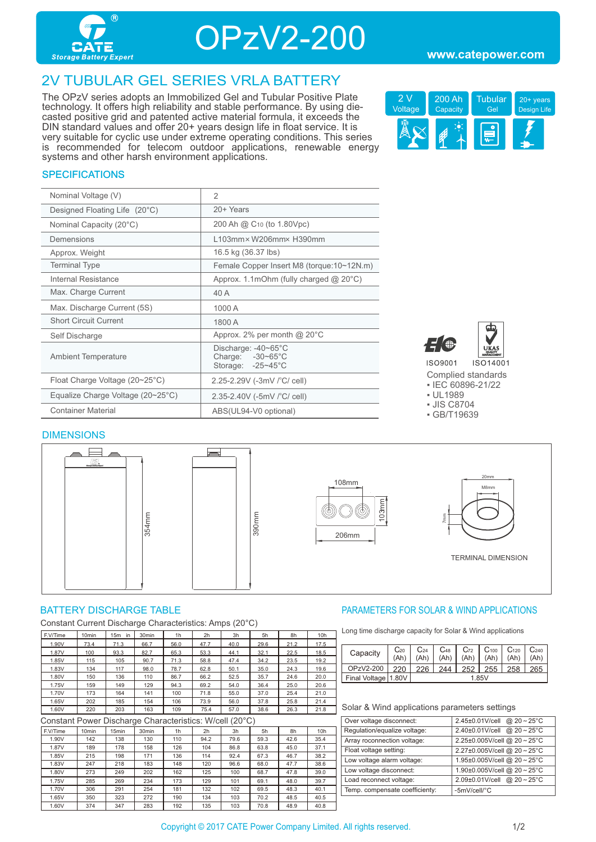

OPzV2-200

## 2V TUBULAR GEL SERIES VRLA BATTERY

The OPzV series adopts an Immobilized Gel and Tubular Positive Plate technology. It offers high reliability and stable performance. By using diecasted positive grid and patented active material formula, it exceeds the DIN standard values and offer 20+ years design life in float service. It is very suitable for cyclic use under extreme operating conditions. This series is recommended for telecom outdoor applications, renewable energy systems and other harsh environment applications.



## **SPECIFICATIONS**

| Nominal Voltage (V)                               | $\overline{2}$                                                         |
|---------------------------------------------------|------------------------------------------------------------------------|
| Designed Floating Life (20°C)                     | 20+ Years                                                              |
| Nominal Capacity (20°C)                           | 200 Ah @ C <sub>10</sub> (to 1.80Vpc)                                  |
| Demensions                                        | L103mm×W206mm×H390mm                                                   |
| Approx. Weight                                    | 16.5 kg (36.37 lbs)                                                    |
| <b>Terminal Type</b>                              | Female Copper Insert M8 (torque:10~12N.m)                              |
| Internal Resistance                               | Approx. 1.1mOhm (fully charged $@$ 20 $°C$ )                           |
| Max. Charge Current                               | 40 A                                                                   |
| Max. Discharge Current (5S)                       | 1000 A                                                                 |
| <b>Short Circuit Current</b>                      | 1800 A                                                                 |
| Self Discharge                                    | Approx. 2% per month $@$ 20 $°C$                                       |
| <b>Ambient Temperature</b>                        | Discharge: -40~65°C<br>Charge: $-30-65^{\circ}$ C<br>Storage: -25~45°C |
| Float Charge Voltage $(20~25^{\circ}C)$           | 2.25-2.29V (-3mV /°C/ cell)                                            |
| Equalize Charge Voltage $(20~25~{\rm ^{\circ}C})$ | 2.35-2.40V (-5mV /°C/ cell)                                            |
| <b>Container Material</b>                         | ABS(UL94-V0 optional)                                                  |



Complied standards ▪ IEC 60896-21/22

- UL1989
- JIS C8704
- GB/T19639

#### DIMENSIONS



Constant Current Discharge Characteristics: Amps (20°C)

| F.V/Time | 10 <sub>min</sub> | 15m<br>in | 30 <sub>min</sub> | 1 <sub>h</sub> | 2h   | 3h   | 5h   | 8h   | 10 <sub>h</sub> |
|----------|-------------------|-----------|-------------------|----------------|------|------|------|------|-----------------|
| 1.90V    | 73.4              | 71.3      | 66.7              | 56.0           | 47.7 | 40.0 | 29.6 | 21.2 | 17.5            |
| 1.87V    | 100               | 93.3      | 82.7              | 65.3           | 53.3 | 44.1 | 32.1 | 22.5 | 18.5            |
| 1.85V    | 115               | 105       | 90.7              | 71.3           | 58.8 | 47.4 | 34.2 | 23.5 | 19.2            |
| 1.83V    | 134               | 117       | 98.0              | 78.7           | 62.8 | 50.1 | 35.0 | 24.3 | 19.6            |
| 1.80V    | 150               | 136       | 110               | 86.7           | 66.2 | 52.5 | 35.7 | 24.6 | 20.0            |
| 1.75V    | 159               | 149       | 129               | 94.3           | 69.2 | 54.0 | 36.4 | 25.0 | 20.6            |
| 1.70V    | 173               | 164       | 141               | 100            | 71.8 | 55.0 | 37.0 | 25.4 | 21.0            |
| 1.65V    | 202               | 185       | 154               | 106            | 73.9 | 56.0 | 37.8 | 25.8 | 21.4            |
| 1.60V    | 220               | 203       | 163               | 109            | 75.4 | 57.0 | 38.6 | 26.3 | 21.8            |

Constant Power Discharge Characteristics: W/cell (20°C)

| ້        |                   |       |                   |     |                |      |      |      |      |
|----------|-------------------|-------|-------------------|-----|----------------|------|------|------|------|
| F.V/Time | 10 <sub>min</sub> | 15min | 30 <sub>min</sub> | 1h  | 2 <sub>h</sub> | 3h   | 5h   | 8h   | 10h  |
| 1.90V    | 142               | 138   | 130               | 110 | 94.2           | 79.6 | 59.3 | 42.6 | 35.4 |
| 1.87V    | 189               | 178   | 158               | 126 | 104            | 86.8 | 63.8 | 45.0 | 37.1 |
| 1.85V    | 215               | 198   | 171               | 136 | 114            | 92.4 | 67.3 | 46.7 | 38.2 |
| 1.83V    | 247               | 218   | 183               | 148 | 120            | 96.6 | 68.0 | 47.7 | 38.6 |
| 1.80V    | 273               | 249   | 202               | 162 | 125            | 100  | 68.7 | 47.8 | 39.0 |
| 1.75V    | 285               | 269   | 234               | 173 | 129            | 101  | 69.1 | 48.0 | 39.7 |
| 1.70V    | 306               | 291   | 254               | 181 | 132            | 102  | 69.5 | 48.3 | 40.1 |
| 1.65V    | 350               | 323   | 272               | 190 | 134            | 103  | 70.2 | 48.5 | 40.5 |
| 1.60V    | 374               | 347   | 283               | 192 | 135            | 103  | 70.8 | 48.9 | 40.8 |

### BATTERY DISCHARGE TABLE **Example 20 FOR SOLAR A SOLAR A WIND APPLICATIONS**

Long time discharge capacity for Solar & Wind applications

|  | Capacity            | $C_{20}$ | $C_{24}$ | $\rm C_{48}$ | $C_{72}$ | C <sub>100</sub> | C <sub>120</sub> | C <sub>240</sub> |  |
|--|---------------------|----------|----------|--------------|----------|------------------|------------------|------------------|--|
|  |                     | (Ah)     | (Ah)     | (Ah)         | (Ah)     | (Ah)             | (Ah)             | (Ah)             |  |
|  | OPzV2-200           | 220      | 226      | 244          | 252      | 255              | 258              | 265              |  |
|  | Final Voltage 1.80V |          | 1.85V    |              |          |                  |                  |                  |  |

| Over voltage disconnect:       | 2.45±0.01V/cell @ 20~25°C  |
|--------------------------------|----------------------------|
| Regulation/equalize voltage:   | 2.40±0.01V/cell @ 20~25°C  |
| Array roconnection voltage:    | 2.25±0.005V/cell @ 20~25°C |
| Float voltage setting:         | 2.27±0.005V/cell @ 20~25°C |
| Low voltage alarm voltage:     | 1.95±0.005V/cell @ 20~25°C |
| Low voltage disconnect:        | 1.90±0.005V/cell @ 20~25°C |
| Load reconnect voltage:        | 2.09±0.01V/cell @ 20~25°C  |
| Temp. compensate coefficienty: | -5mV/cell/°C               |
|                                |                            |